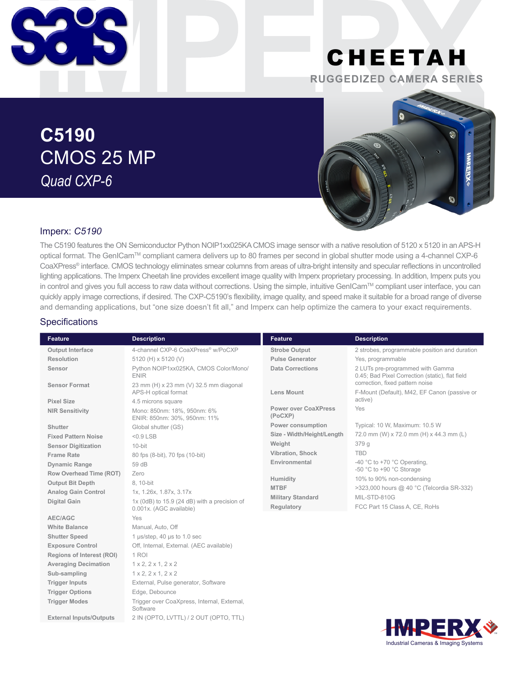

# CHEETAH **RUGGEDIZED CAMERA SERIES**

**C5190** CMOS 25 MP *Quad CXP-6*



#### Imperx: *C5190*

The C5190 features the ON Semiconductor Python NOIP1xx025KA CMOS image sensor with a native resolution of 5120 x 5120 in an APS-H optical format. The GenICam™ compliant camera delivers up to 80 frames per second in global shutter mode using a 4-channel CXP-6 CoaXPress® interface. CMOS technology eliminates smear columns from areas of ultra-bright intensity and specular reflections in uncontrolled lighting applications. The Imperx Cheetah line provides excellent image quality with Imperx proprietary processing. In addition, Imperx puts you in control and gives you full access to raw data without corrections. Using the simple, intuitive GenICam™ compliant user interface, you can quickly apply image corrections, if desired. The CXP-C5190's flexibility, image quality, and speed make it suitable for a broad range of diverse and demanding applications, but "one size doesn't fit all," and Imperx can help optimize the camera to your exact requirements.

#### **Specifications**

| <b>Feature</b>                   | <b>Description</b>                                                      | <b>Feature</b>                         | <b>Description</b>                                                                  |
|----------------------------------|-------------------------------------------------------------------------|----------------------------------------|-------------------------------------------------------------------------------------|
| <b>Output Interface</b>          | 4-channel CXP-6 CoaXPress® w/PoCXP                                      | <b>Strobe Output</b>                   | 2 strobes, programmable position and duration                                       |
| Resolution                       | 5120 (H) x 5120 (V)                                                     | <b>Pulse Generator</b>                 | Yes, programmable                                                                   |
| Sensor                           | Python NOIP1xx025KA, CMOS Color/Mono/<br><b>ENIR</b>                    | <b>Data Corrections</b>                | 2 LUTs pre-programmed with Gamma<br>0.45; Bad Pixel Correction (static), flat field |
| <b>Sensor Format</b>             | 23 mm (H) x 23 mm (V) 32.5 mm diagonal<br>APS-H optical format          | Lens Mount                             | correction, fixed pattern noise<br>F-Mount (Default), M42, EF Canon (passive or     |
| <b>Pixel Size</b>                | 4.5 microns square                                                      |                                        | active)                                                                             |
| <b>NIR Sensitivity</b>           | Mono: 850nm: 18%, 950nm: 6%<br>ENIR: 850nm: 30%, 950nm: 11%             | <b>Power over CoaXPress</b><br>(PoCXP) | Yes                                                                                 |
| Shutter                          | Global shutter (GS)                                                     | Power consumption                      | Typical: 10 W, Maximum: 10.5 W                                                      |
| <b>Fixed Pattern Noise</b>       | $<$ 0.9 $LSB$                                                           | Size - Width/Height/Length             | 72.0 mm (W) x 72.0 mm (H) x 44.3 mm (L)                                             |
| <b>Sensor Digitization</b>       | 10-bit                                                                  | Weight                                 | 379 g                                                                               |
| <b>Frame Rate</b>                | 80 fps (8-bit), 70 fps (10-bit)                                         | Vibration, Shock                       | <b>TBD</b>                                                                          |
| <b>Dynamic Range</b>             | 59 dB                                                                   | Environmental                          | -40 °C to +70 °C Operating,                                                         |
| Row Overhead Time (ROT)          | Zero                                                                    |                                        | -50 °C to +90 °C Storage                                                            |
| <b>Output Bit Depth</b>          | 8, 10-bit                                                               | Humidity                               | 10% to 90% non-condensing                                                           |
| <b>Analog Gain Control</b>       | 1x, 1.26x, 1.87x, 3.17x                                                 | <b>MTBF</b>                            | >323,000 hours @ 40 °C (Telcordia SR-332)                                           |
| <b>Digital Gain</b>              | 1x (0dB) to 15.9 (24 dB) with a precision of<br>0.001x. (AGC available) | <b>Military Standard</b><br>Regulatory | MIL-STD-810G<br>FCC Part 15 Class A, CE, RoHs                                       |
| AEC/AGC                          | Yes                                                                     |                                        |                                                                                     |
| <b>White Balance</b>             | Manual, Auto, Off                                                       |                                        |                                                                                     |
| <b>Shutter Speed</b>             | 1 µs/step, 40 µs to 1.0 sec                                             |                                        |                                                                                     |
| <b>Exposure Control</b>          | Off, Internal, External. (AEC available)                                |                                        |                                                                                     |
| <b>Regions of Interest (ROI)</b> | 1 ROI                                                                   |                                        |                                                                                     |
| <b>Averaging Decimation</b>      | 1 x 2, 2 x 1, 2 x 2                                                     |                                        |                                                                                     |
| Sub-sampling                     | $1 \times 2$ , $2 \times 1$ , $2 \times 2$                              |                                        |                                                                                     |
| <b>Trigger Inputs</b>            | External, Pulse generator, Software                                     |                                        |                                                                                     |
| <b>Trigger Options</b>           | Edge, Debounce                                                          |                                        |                                                                                     |
| <b>Trigger Modes</b>             | Trigger over CoaXpress, Internal, External,<br>Software                 |                                        |                                                                                     |
| <b>External Inputs/Outputs</b>   | 2 IN (OPTO, LVTTL) / 2 OUT (OPTO, TTL)                                  |                                        |                                                                                     |